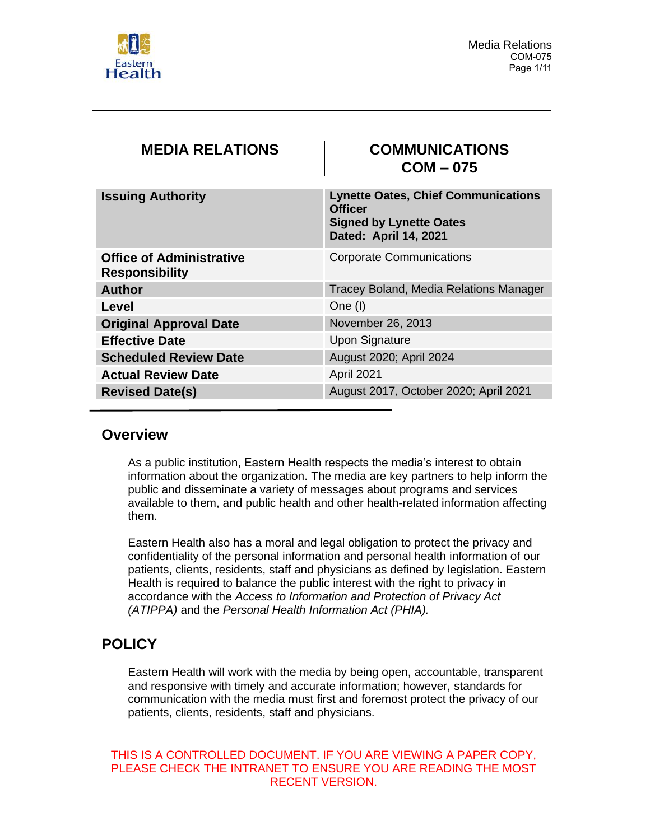

| <b>MEDIA RELATIONS</b>                                   | <b>COMMUNICATIONS</b><br>$COM - 075$                                                                                    |
|----------------------------------------------------------|-------------------------------------------------------------------------------------------------------------------------|
| <b>Issuing Authority</b>                                 | <b>Lynette Oates, Chief Communications</b><br><b>Officer</b><br><b>Signed by Lynette Oates</b><br>Dated: April 14, 2021 |
| <b>Office of Administrative</b><br><b>Responsibility</b> | <b>Corporate Communications</b>                                                                                         |
| <b>Author</b>                                            | Tracey Boland, Media Relations Manager                                                                                  |
| Level                                                    | One (I)                                                                                                                 |
| <b>Original Approval Date</b>                            | November 26, 2013                                                                                                       |
| <b>Effective Date</b>                                    | <b>Upon Signature</b>                                                                                                   |
| <b>Scheduled Review Date</b>                             | August 2020; April 2024                                                                                                 |
| <b>Actual Review Date</b>                                | April 2021                                                                                                              |
| <b>Revised Date(s)</b>                                   | August 2017, October 2020; April 2021                                                                                   |

## **Overview**

As a public institution, Eastern Health respects the media's interest to obtain information about the organization. The media are key partners to help inform the public and disseminate a variety of messages about programs and services available to them, and public health and other health-related information affecting them.

Eastern Health also has a moral and legal obligation to protect the privacy and confidentiality of the personal information and personal health information of our patients, clients, residents, staff and physicians as defined by legislation. Eastern Health is required to balance the public interest with the right to privacy in accordance with the *Access to Information and Protection of Privacy Act (ATIPPA)* and the *Personal Health Information Act (PHIA).*

# **POLICY**

Eastern Health will work with the media by being open, accountable, transparent and responsive with timely and accurate information; however, standards for communication with the media must first and foremost protect the privacy of our patients, clients, residents, staff and physicians.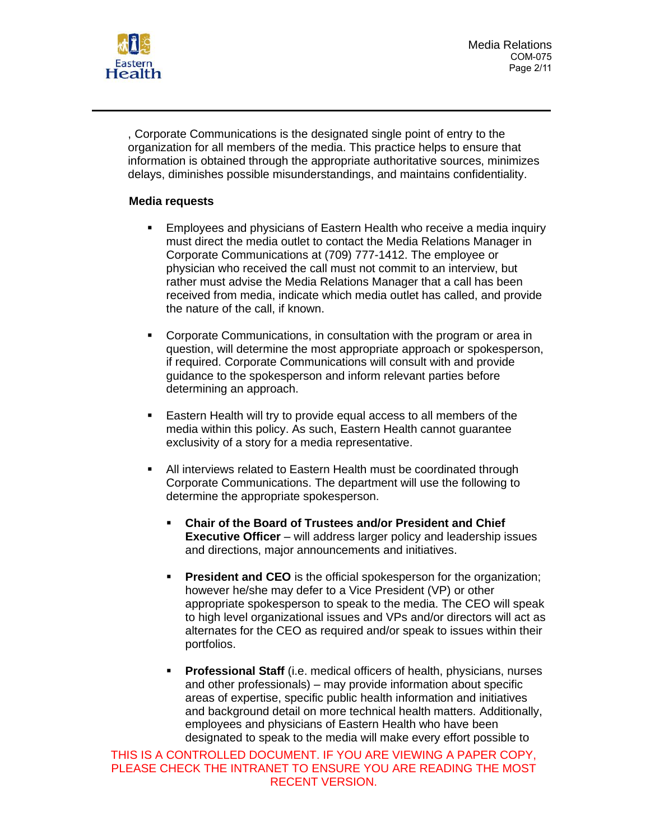

Media Relations COM-075 Page 2/11

, Corporate Communications is the designated single point of entry to the organization for all members of the media. This practice helps to ensure that information is obtained through the appropriate authoritative sources, minimizes delays, diminishes possible misunderstandings, and maintains confidentiality.

### **Media requests**

- **Employees and physicians of Eastern Health who receive a media inquiry** must direct the media outlet to contact the Media Relations Manager in Corporate Communications at (709) 777-1412. The employee or physician who received the call must not commit to an interview, but rather must advise the Media Relations Manager that a call has been received from media, indicate which media outlet has called, and provide the nature of the call, if known.
- Corporate Communications, in consultation with the program or area in question, will determine the most appropriate approach or spokesperson, if required. Corporate Communications will consult with and provide guidance to the spokesperson and inform relevant parties before determining an approach.
- Eastern Health will try to provide equal access to all members of the media within this policy. As such, Eastern Health cannot guarantee exclusivity of a story for a media representative.
- All interviews related to Eastern Health must be coordinated through Corporate Communications. The department will use the following to determine the appropriate spokesperson.
	- **Chair of the Board of Trustees and/or President and Chief Executive Officer** – will address larger policy and leadership issues and directions, major announcements and initiatives.
	- **President and CEO** is the official spokesperson for the organization; however he/she may defer to a Vice President (VP) or other appropriate spokesperson to speak to the media. The CEO will speak to high level organizational issues and VPs and/or directors will act as alternates for the CEO as required and/or speak to issues within their portfolios.
	- **Professional Staff** (i.e. medical officers of health, physicians, nurses and other professionals) – may provide information about specific areas of expertise, specific public health information and initiatives and background detail on more technical health matters. Additionally, employees and physicians of Eastern Health who have been designated to speak to the media will make every effort possible to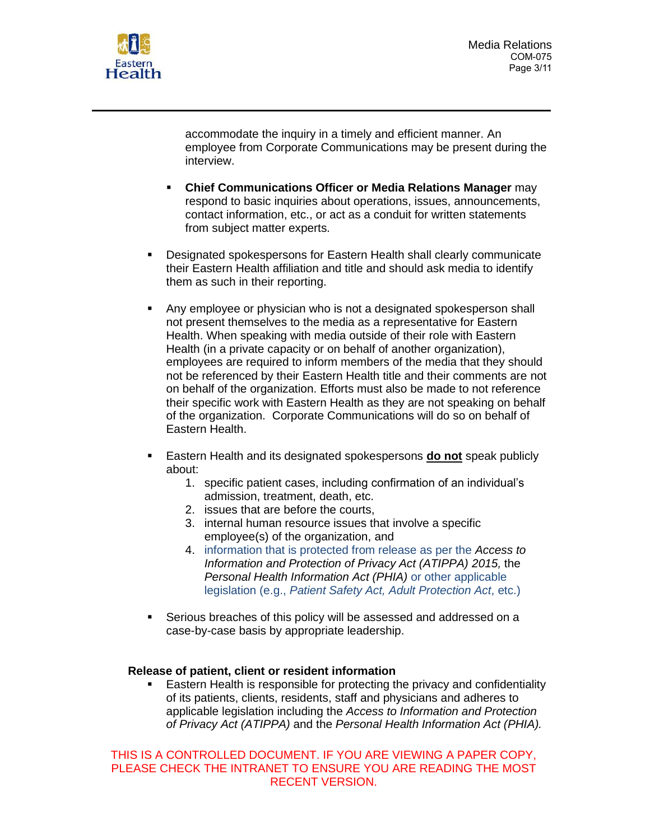

accommodate the inquiry in a timely and efficient manner. An employee from Corporate Communications may be present during the interview.

- **Chief Communications Officer or Media Relations Manager** may respond to basic inquiries about operations, issues, announcements, contact information, etc., or act as a conduit for written statements from subject matter experts.
- Designated spokespersons for Eastern Health shall clearly communicate their Eastern Health affiliation and title and should ask media to identify them as such in their reporting.
- Any employee or physician who is not a designated spokesperson shall not present themselves to the media as a representative for Eastern Health. When speaking with media outside of their role with Eastern Health (in a private capacity or on behalf of another organization), employees are required to inform members of the media that they should not be referenced by their Eastern Health title and their comments are not on behalf of the organization. Efforts must also be made to not reference their specific work with Eastern Health as they are not speaking on behalf of the organization. Corporate Communications will do so on behalf of Eastern Health.
- Eastern Health and its designated spokespersons **do not** speak publicly about:
	- 1. specific patient cases, including confirmation of an individual's admission, treatment, death, etc.
	- 2. issues that are before the courts,
	- 3. internal human resource issues that involve a specific employee(s) of the organization, and
	- 4. information that is protected from release as per the *Access to Information and Protection of Privacy Act (ATIPPA) 2015,* the *Personal Health Information Act (PHIA)* or other applicable legislation (e.g., *Patient Safety Act, Adult Protection Act*, etc.)
- Serious breaches of this policy will be assessed and addressed on a case-by-case basis by appropriate leadership.

## **Release of patient, client or resident information**

Eastern Health is responsible for protecting the privacy and confidentiality of its patients, clients, residents, staff and physicians and adheres to applicable legislation including the *Access to Information and Protection of Privacy Act (ATIPPA)* and the *Personal Health Information Act (PHIA).*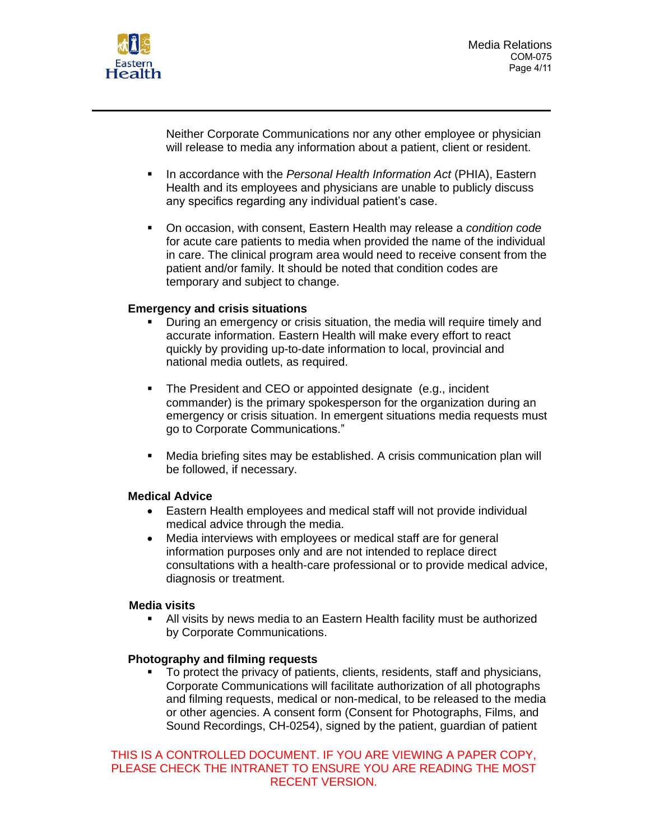

Neither Corporate Communications nor any other employee or physician will release to media any information about a patient, client or resident.

- In accordance with the *Personal Health Information Act* (PHIA), Eastern Health and its employees and physicians are unable to publicly discuss any specifics regarding any individual patient's case.
- On occasion, with consent, Eastern Health may release a *condition code* for acute care patients to media when provided the name of the individual in care. The clinical program area would need to receive consent from the patient and/or family. It should be noted that condition codes are temporary and subject to change.

### **Emergency and crisis situations**

- During an emergency or crisis situation, the media will require timely and accurate information. Eastern Health will make every effort to react quickly by providing up-to-date information to local, provincial and national media outlets, as required.
- The President and CEO or appointed designate (e.g., incident commander) is the primary spokesperson for the organization during an emergency or crisis situation. In emergent situations media requests must go to Corporate Communications."
- Media briefing sites may be established. A crisis communication plan will be followed, if necessary.

## **Medical Advice**

- Eastern Health employees and medical staff will not provide individual medical advice through the media.
- Media interviews with employees or medical staff are for general information purposes only and are not intended to replace direct consultations with a health-care professional or to provide medical advice, diagnosis or treatment.

#### **Media visits**

**EXT** All visits by news media to an Eastern Health facility must be authorized by Corporate Communications.

## **Photography and filming requests**

To protect the privacy of patients, clients, residents, staff and physicians, Corporate Communications will facilitate authorization of all photographs and filming requests, medical or non-medical, to be released to the media or other agencies. A consent form (Consent for Photographs, Films, and Sound Recordings, CH-0254), signed by the patient, guardian of patient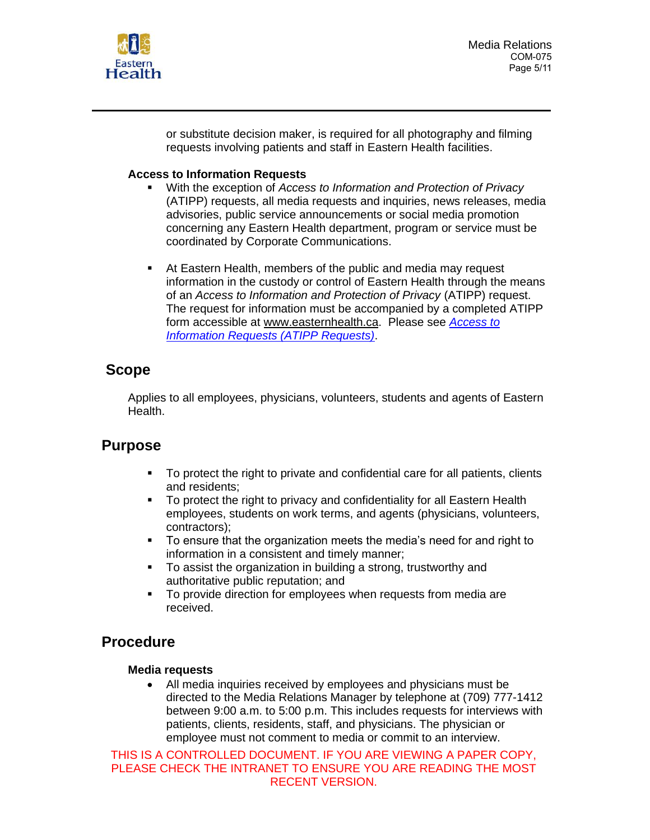

or substitute decision maker, is required for all photography and filming requests involving patients and staff in Eastern Health facilities.

## **Access to Information Requests**

- With the exception of *Access to Information and Protection of Privacy* (ATIPP) requests, all media requests and inquiries, news releases, media advisories, public service announcements or social media promotion concerning any Eastern Health department, program or service must be coordinated by Corporate Communications.
- At Eastern Health, members of the public and media may request information in the custody or control of Eastern Health through the means of an *Access to Information and Protection of Privacy* (ATIPP) request. The request for information must be accompanied by a completed ATIPP form accessible at [www.easternhealth.ca.](http://www.easternhealth.ca/) Please see *[Access to](http://pulse.easternhealth.ca/Pages/ImageLoader.aspx?PolicyID=351&policyType=G)  [Information Requests \(ATIPP Requests\)](http://pulse.easternhealth.ca/Pages/ImageLoader.aspx?PolicyID=351&policyType=G)*.

# **Scope**

Applies to all employees, physicians, volunteers, students and agents of Eastern Health.

## **Purpose**

- To protect the right to private and confidential care for all patients, clients and residents;
- To protect the right to privacy and confidentiality for all Eastern Health employees, students on work terms, and agents (physicians, volunteers, contractors);
- To ensure that the organization meets the media's need for and right to information in a consistent and timely manner;
- To assist the organization in building a strong, trustworthy and authoritative public reputation; and
- **•** To provide direction for employees when requests from media are received.

# **Procedure**

## **Media requests**

• All media inquiries received by employees and physicians must be directed to the Media Relations Manager by telephone at (709) 777-1412 between 9:00 a.m. to 5:00 p.m. This includes requests for interviews with patients, clients, residents, staff, and physicians. The physician or employee must not comment to media or commit to an interview.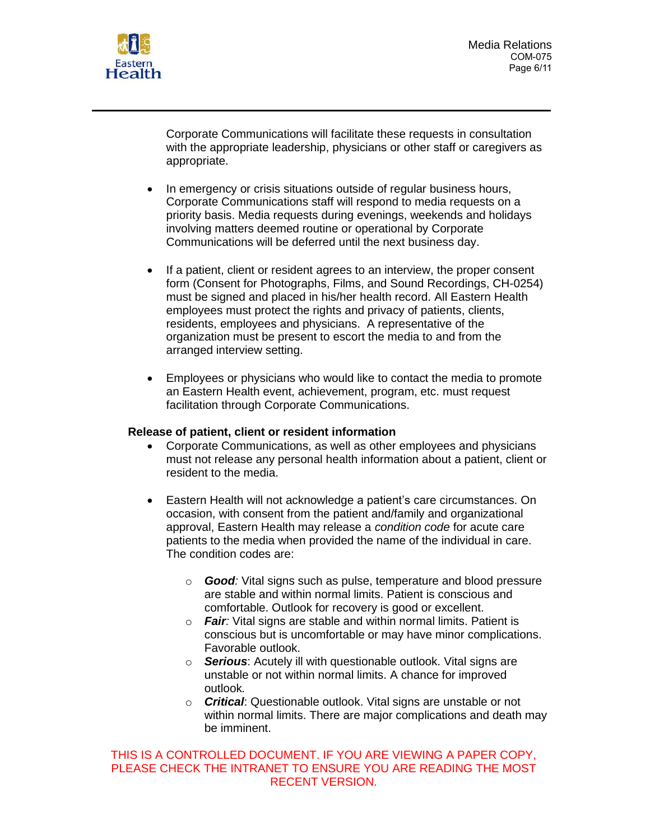

Corporate Communications will facilitate these requests in consultation with the appropriate leadership, physicians or other staff or caregivers as appropriate.

- In emergency or crisis situations outside of regular business hours, Corporate Communications staff will respond to media requests on a priority basis. Media requests during evenings, weekends and holidays involving matters deemed routine or operational by Corporate Communications will be deferred until the next business day.
- If a patient, client or resident agrees to an interview, the proper consent form (Consent for Photographs, Films, and Sound Recordings, CH-0254) must be signed and placed in his/her health record. All Eastern Health employees must protect the rights and privacy of patients, clients, residents, employees and physicians. A representative of the organization must be present to escort the media to and from the arranged interview setting.
- Employees or physicians who would like to contact the media to promote an Eastern Health event, achievement, program, etc. must request facilitation through Corporate Communications.

## **Release of patient, client or resident information**

- Corporate Communications, as well as other employees and physicians must not release any personal health information about a patient, client or resident to the media.
- Eastern Health will not acknowledge a patient's care circumstances. On occasion, with consent from the patient and/family and organizational approval, Eastern Health may release a *condition code* for acute care patients to the media when provided the name of the individual in care. The condition codes are:
	- o *Good:* Vital signs such as pulse, temperature and blood pressure are stable and within normal limits. Patient is conscious and comfortable. Outlook for recovery is good or excellent.
	- o *Fair:* Vital signs are stable and within normal limits. Patient is conscious but is uncomfortable or may have minor complications. Favorable outlook.
	- o *Serious*: Acutely ill with questionable outlook. Vital signs are unstable or not within normal limits. A chance for improved outlook*.*
	- o *Critical*: Questionable outlook. Vital signs are unstable or not within normal limits. There are major complications and death may be imminent.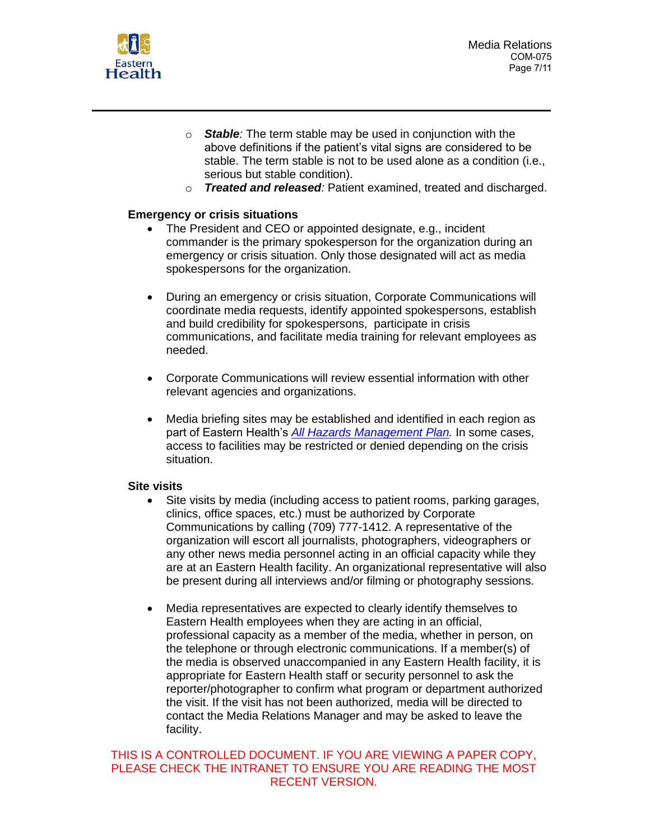

- o *Stable:* The term stable may be used in conjunction with the above definitions if the patient's vital signs are considered to be stable. The term stable is not to be used alone as a condition (i.e., serious but stable condition).
- o *Treated and released:* Patient examined, treated and discharged.

### **Emergency or crisis situations**

- The President and CEO or appointed designate, e.g., incident commander is the primary spokesperson for the organization during an emergency or crisis situation. Only those designated will act as media spokespersons for the organization.
- During an emergency or crisis situation, Corporate Communications will coordinate media requests, identify appointed spokespersons, establish and build credibility for spokespersons, participate in crisis communications, and facilitate media training for relevant employees as needed.
- Corporate Communications will review essential information with other relevant agencies and organizations.
- Media briefing sites may be established and identified in each region as part of Eastern Health's *[All Hazards Management Plan.](http://pulse.easternhealth.ca/Pages/ImageLoader.aspx?ResourceID=6033)* In some cases, access to facilities may be restricted or denied depending on the crisis situation.

#### **Site visits**

- Site visits by media (including access to patient rooms, parking garages, clinics, office spaces, etc.) must be authorized by Corporate Communications by calling (709) 777-1412. A representative of the organization will escort all journalists, photographers, videographers or any other news media personnel acting in an official capacity while they are at an Eastern Health facility. An organizational representative will also be present during all interviews and/or filming or photography sessions.
- Media representatives are expected to clearly identify themselves to Eastern Health employees when they are acting in an official, professional capacity as a member of the media, whether in person, on the telephone or through electronic communications. If a member(s) of the media is observed unaccompanied in any Eastern Health facility, it is appropriate for Eastern Health staff or security personnel to ask the reporter/photographer to confirm what program or department authorized the visit. If the visit has not been authorized, media will be directed to contact the Media Relations Manager and may be asked to leave the facility.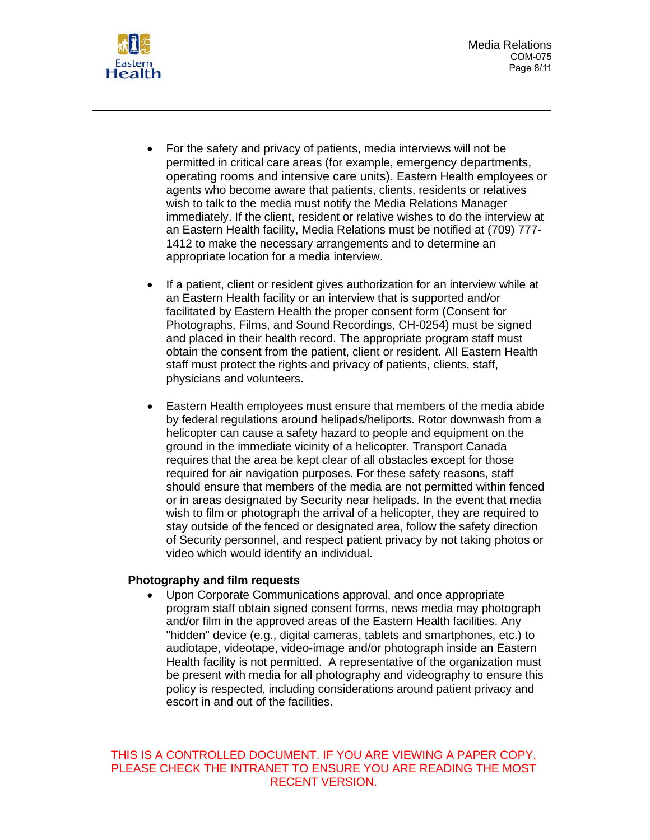Media Relations COM-075 Page 8/11



- For the safety and privacy of patients, media interviews will not be permitted in critical care areas (for example, emergency departments, operating rooms and intensive care units). Eastern Health employees or agents who become aware that patients, clients, residents or relatives wish to talk to the media must notify the Media Relations Manager immediately. If the client, resident or relative wishes to do the interview at an Eastern Health facility, Media Relations must be notified at (709) 777- 1412 to make the necessary arrangements and to determine an appropriate location for a media interview.
- If a patient, client or resident gives authorization for an interview while at an Eastern Health facility or an interview that is supported and/or facilitated by Eastern Health the proper consent form (Consent for Photographs, Films, and Sound Recordings, CH-0254) must be signed and placed in their health record. The appropriate program staff must obtain the consent from the patient, client or resident. All Eastern Health staff must protect the rights and privacy of patients, clients, staff, physicians and volunteers.
- Eastern Health employees must ensure that members of the media abide by federal regulations around helipads/heliports. Rotor downwash from a helicopter can cause a safety hazard to people and equipment on the ground in the immediate vicinity of a helicopter. Transport Canada requires that the area be kept clear of all obstacles except for those required for air navigation purposes. For these safety reasons, staff should ensure that members of the media are not permitted within fenced or in areas designated by Security near helipads. In the event that media wish to film or photograph the arrival of a helicopter, they are required to stay outside of the fenced or designated area, follow the safety direction of Security personnel, and respect patient privacy by not taking photos or video which would identify an individual.

#### **Photography and film requests**

• Upon Corporate Communications approval, and once appropriate program staff obtain signed consent forms, news media may photograph and/or film in the approved areas of the Eastern Health facilities. Any "hidden" device (e.g., digital cameras, tablets and smartphones, etc.) to audiotape, videotape, video-image and/or photograph inside an Eastern Health facility is not permitted. A representative of the organization must be present with media for all photography and videography to ensure this policy is respected, including considerations around patient privacy and escort in and out of the facilities.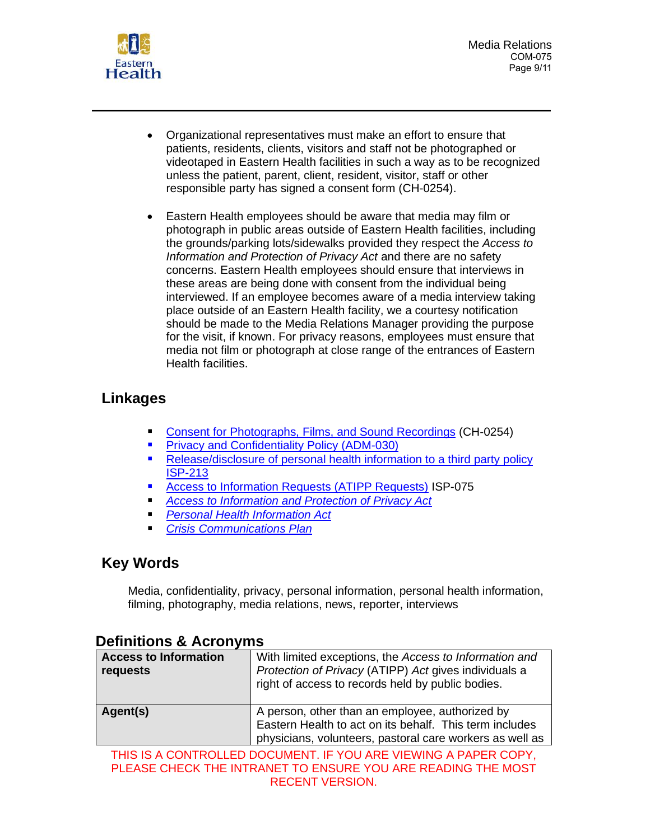

- Organizational representatives must make an effort to ensure that patients, residents, clients, visitors and staff not be photographed or videotaped in Eastern Health facilities in such a way as to be recognized unless the patient, parent, client, resident, visitor, staff or other responsible party has signed a consent form (CH-0254).
- Eastern Health employees should be aware that media may film or photograph in public areas outside of Eastern Health facilities, including the grounds/parking lots/sidewalks provided they respect the *Access to Information and Protection of Privacy Act* and there are no safety concerns. Eastern Health employees should ensure that interviews in these areas are being done with consent from the individual being interviewed. If an employee becomes aware of a media interview taking place outside of an Eastern Health facility, we a courtesy notification should be made to the Media Relations Manager providing the purpose for the visit, if known. For privacy reasons, employees must ensure that media not film or photograph at close range of the entrances of Eastern Health facilities.

# **Linkages**

- Consent for [Photographs, Films, and Sound Recordings](http://pulse.easternhealth.ca/Pages/ImageLoader.aspx?FormID=265) (CH-0254)
- [Privacy and Confidentiality Policy \(ADM-030\)](http://pulse.easternhealth.ca/Pages/ImageLoader.aspx?PolicyID=154&policyType=G)
- Release/disclosure of personal health information to a third party policy [ISP-213](http://pulse.easternhealth.ca/Pages/ImageLoader.aspx?PolicyID=374&policyType=G)
- [Access to Information Requests \(ATIPP Requests\)](http://pulse.easternhealth.ca/Pages/ImageLoader.aspx?PolicyID=351&policyType=G) ISP-075
- *[Access to Information and Protection of Privacy Act](https://www.assembly.nl.ca/legislation/sr/statutes/a01-2.htm)*
- *[Personal Health Information Act](https://assembly.nl.ca/legislation/sr/statutes/p07-01.htm)*
- *[Crisis Communications Plan](http://pulse.easternhealth.ca/UserPage.aspx?pageid=119)*

# **Key Words**

Media, confidentiality, privacy, personal information, personal health information, filming, photography, media relations, news, reporter, interviews

| <b>Access to Information</b><br>requests                        | With limited exceptions, the Access to Information and<br>Protection of Privacy (ATIPP) Act gives individuals a<br>right of access to records held by public bodies.   |
|-----------------------------------------------------------------|------------------------------------------------------------------------------------------------------------------------------------------------------------------------|
| Agent(s)                                                        | A person, other than an employee, authorized by<br>Eastern Health to act on its behalf. This term includes<br>physicians, volunteers, pastoral care workers as well as |
| THIS IS A CONTROLLED DOOLIMENT. IF VOLLARE VIEWING A RARER CORV |                                                                                                                                                                        |

# **Definitions & Acronyms**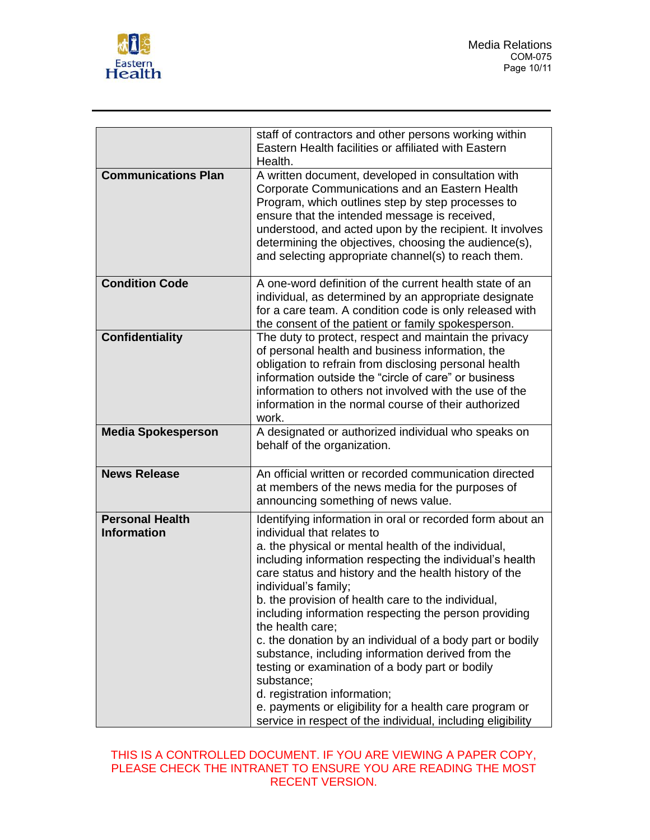

|                                              | staff of contractors and other persons working within<br>Eastern Health facilities or affiliated with Eastern<br>Health.                                                                                                                                                                                                                                                                                                                                                                                                                                                                                                                                                                                                                                                    |
|----------------------------------------------|-----------------------------------------------------------------------------------------------------------------------------------------------------------------------------------------------------------------------------------------------------------------------------------------------------------------------------------------------------------------------------------------------------------------------------------------------------------------------------------------------------------------------------------------------------------------------------------------------------------------------------------------------------------------------------------------------------------------------------------------------------------------------------|
| <b>Communications Plan</b>                   | A written document, developed in consultation with<br>Corporate Communications and an Eastern Health<br>Program, which outlines step by step processes to<br>ensure that the intended message is received,<br>understood, and acted upon by the recipient. It involves<br>determining the objectives, choosing the audience(s),<br>and selecting appropriate channel(s) to reach them.                                                                                                                                                                                                                                                                                                                                                                                      |
| <b>Condition Code</b>                        | A one-word definition of the current health state of an<br>individual, as determined by an appropriate designate<br>for a care team. A condition code is only released with<br>the consent of the patient or family spokesperson.                                                                                                                                                                                                                                                                                                                                                                                                                                                                                                                                           |
| <b>Confidentiality</b>                       | The duty to protect, respect and maintain the privacy<br>of personal health and business information, the<br>obligation to refrain from disclosing personal health<br>information outside the "circle of care" or business<br>information to others not involved with the use of the<br>information in the normal course of their authorized<br>work.                                                                                                                                                                                                                                                                                                                                                                                                                       |
| <b>Media Spokesperson</b>                    | A designated or authorized individual who speaks on<br>behalf of the organization.                                                                                                                                                                                                                                                                                                                                                                                                                                                                                                                                                                                                                                                                                          |
| <b>News Release</b>                          | An official written or recorded communication directed<br>at members of the news media for the purposes of<br>announcing something of news value.                                                                                                                                                                                                                                                                                                                                                                                                                                                                                                                                                                                                                           |
| <b>Personal Health</b><br><b>Information</b> | Identifying information in oral or recorded form about an<br>individual that relates to<br>a. the physical or mental health of the individual,<br>including information respecting the individual's health<br>care status and history and the health history of the<br>individual's family;<br>b. the provision of health care to the individual.<br>including information respecting the person providing<br>the health care;<br>c. the donation by an individual of a body part or bodily<br>substance, including information derived from the<br>testing or examination of a body part or bodily<br>substance;<br>d. registration information;<br>e. payments or eligibility for a health care program or<br>service in respect of the individual, including eligibility |